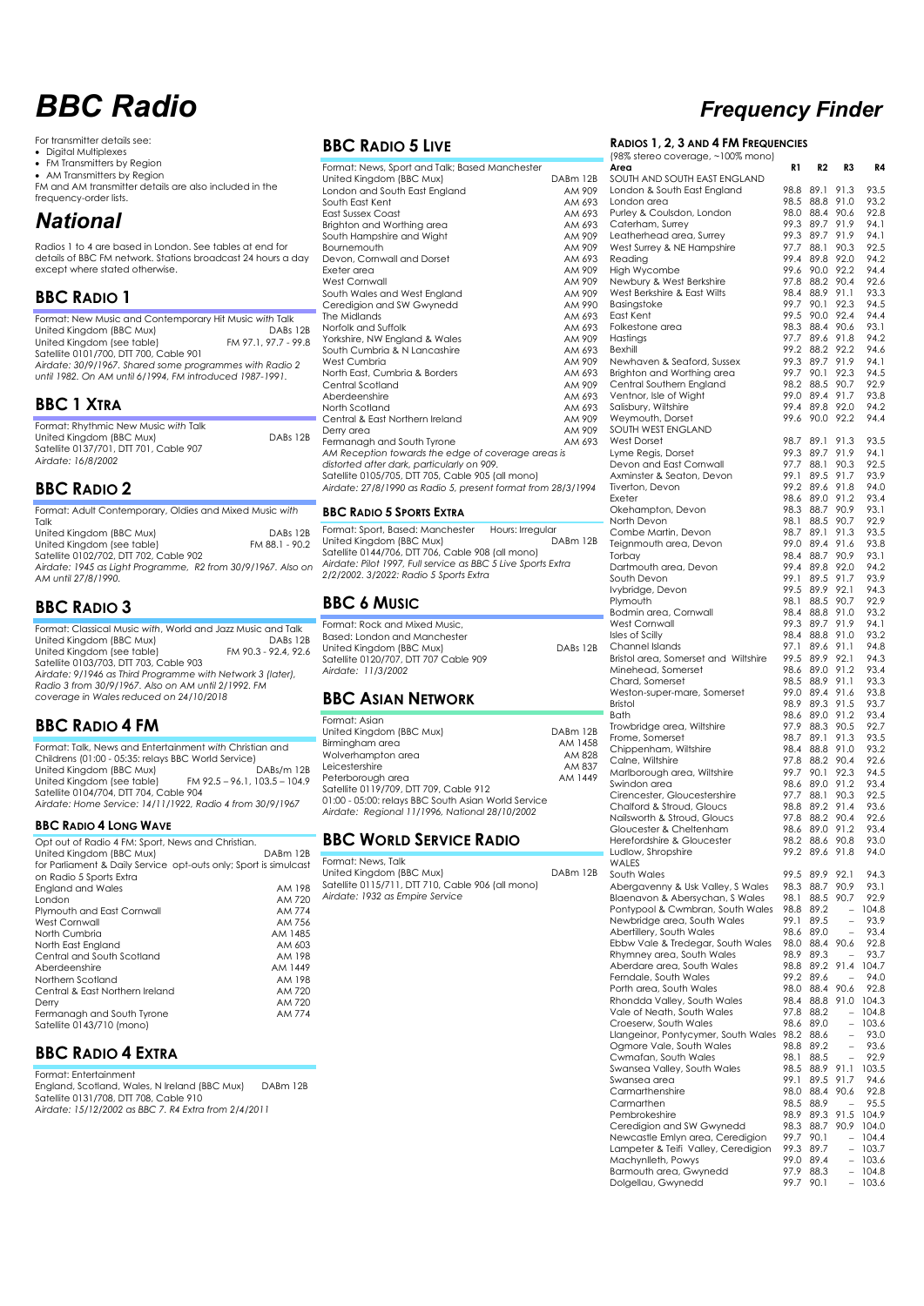# *BBC Radio Frequency Finder*

For transmitter details see:

• Digital Multiplexes

• FM Transmitters by Region

• AM Transmitters by Region FM and AM transmitter details are also included in the frequency-order lists.

## *National*

Radios 1 to 4 are based in London. See tables at end for details of BBC FM network. Stations broadcast 24 hours a day except where stated otherwise.

## **BBC RADIO 1**

| Format: New Music and Contemporary Hit Music with Talk   |                      |
|----------------------------------------------------------|----------------------|
| United Kingdom (BBC Mux)                                 | DABs 12B             |
| United Kingdom (see table)                               | FM 97.1, 97.7 - 99.8 |
| Satellite 0101/700, DTT 700, Cable 901                   |                      |
| Airdate: 30/9/1967. Shared some programmes with Radio 2  |                      |
| until 1982. On AM until 6/1994, FM introduced 1987-1991. |                      |
|                                                          |                      |
|                                                          |                      |

## **BBC 1 XTRA**

| Format: Rhythmic New Music with Talk   |          |
|----------------------------------------|----------|
| United Kingdom (BBC Mux)               | DABs 12B |
| Satellite 0137/701, DTT 701, Cable 907 |          |
| Airdate: 16/8/2002                     |          |

## **BBC RADIO 2**

| Format: Adult Contemporary, Oldies and Mixed Music with      |                |
|--------------------------------------------------------------|----------------|
| Talk                                                         |                |
| United Kingdom (BBC Mux)                                     | DABs 12B       |
| United Kingdom (see table)                                   | FM 88.1 - 90.2 |
| Satellite 0102/702, DTT 702, Cable 902                       |                |
| Airdate: 1945 as Light Programme, R2 from 30/9/1967. Also on |                |
| AM until 27/8/1990.                                          |                |

## **BBC RADIO 3**

| Format: Classical Music with, World and Jazz Music and Talk |                      |
|-------------------------------------------------------------|----------------------|
| United Kingdom (BBC Mux)                                    | DABs 12B             |
| United Kingdom (see table)                                  | FM 90.3 - 92.4, 92.6 |
| Satellite 0103/703, DTT 703, Cable 903                      |                      |
| Airdate: 9/1946 as Third Programme with Network 3 (later),  |                      |
| Radio 3 from 30/9/1967, Also on AM until 2/1992, FM         |                      |
| coverage in Wales reduced on 24/10/2018                     |                      |

## **BBC RADIO 4 FM**

| Format: Talk, News and Entertainment with Christian and   |                                 |  |  |
|-----------------------------------------------------------|---------------------------------|--|--|
| Childrens (01:00 - 05:35: relays BBC World Service)       |                                 |  |  |
| United Kingdom (BBC Mux)                                  | DABs/m 12B                      |  |  |
| United Kingdom (see table)                                | $FM$ 92.5 - 96.1, 103.5 - 104.9 |  |  |
| Satellite 0104/704, DTT 704, Cable 904                    |                                 |  |  |
| Airdate: Home Service: 14/11/1922, Radio 4 from 30/9/1967 |                                 |  |  |
|                                                           |                                 |  |  |

### **BBC RADIO 4 LONG WAVE**

| Opt out of Radio 4 FM: Sport, News and Christian.                |          |
|------------------------------------------------------------------|----------|
| United Kingdom (BBC Mux)                                         | DABm 12B |
| for Parliament & Daily Service opt-outs only; Sport is simulcast |          |
| on Radio 5 Sports Extra                                          |          |
| <b>England and Wales</b>                                         | AM 198   |
| <b>London</b>                                                    | AM 720   |
| Plymouth and East Cornwall                                       | AM 774   |
| West Cornwall                                                    | AM 756   |
| North Cumbria                                                    | AM 1485  |
| North East England                                               | AM 603   |
| Central and South Scotland                                       | AM 198   |
| Aberdeenshire                                                    | AM 1449  |
| Northern Scotland                                                | AM 198   |
| Central & East Northern Ireland                                  | AM 720   |
| Derry                                                            | AM 720   |
| Fermanagh and South Tyrone                                       | AM 774   |
| Satellite 0143/710 (mono)                                        |          |

## **BBC RADIO 4 EXTRA**

Format: Entertainment England, Scotland, Wales, N Ireland (BBC Mux) DABm 12B Satellite 0131/708, DTT 708, Cable 910 *Airdate: 15/12/2002 as BBC 7. R4 Extra from 2/4/2011*

## **BBC RADIO 5 LIVE**

| Format: News, Sport and Talk; Based Manchester<br>United Kingdom (BBC Mux)<br>London and South East England<br>South East Kent<br><b>East Sussex Coast</b><br>Brighton and Worthing area<br>South Hampshire and Wight<br><b>Bournemouth</b><br>Devon, Cornwall and Dorset<br><b>Exeter</b> area<br><b>West Cornwall</b><br>South Wales and West England<br>Ceredigion and SW Gwynedd<br>The Midlands<br>Norfolk and Suffolk<br>Yorkshire, NW England & Wales<br>South Cumbria & N Lancashire<br>West Cumbria<br>North East, Cumbria & Borders<br>Central Scotland<br>Aberdeenshire<br>North Scotland<br>Central & East Northern Ireland<br>Derry area<br>Fermanagh and South Tyrone<br>AM Reception towards the edge of coverage areas is<br>distorted after dark, particularly on 909.<br>Satellite 0105/705, DTT 705, Cable 905 (all mono)<br>Airdate: 27/8/1990 as Radio 5, present format from 28/3/1994 | DABm 12B<br>AM 909<br>AM 693<br>AM 693<br>AM 693<br>AM 909<br>AM 909<br>AM 693<br>AM 909<br>AM 909<br>AM 909<br>AM 990<br>AM 693<br>AM 693<br>AM 909<br>AM 693<br>AM 909<br>AM 693<br>AM 909<br>AM 693<br>AM 693<br>AM 909<br>AM 909<br>AM 693 |
|--------------------------------------------------------------------------------------------------------------------------------------------------------------------------------------------------------------------------------------------------------------------------------------------------------------------------------------------------------------------------------------------------------------------------------------------------------------------------------------------------------------------------------------------------------------------------------------------------------------------------------------------------------------------------------------------------------------------------------------------------------------------------------------------------------------------------------------------------------------------------------------------------------------|------------------------------------------------------------------------------------------------------------------------------------------------------------------------------------------------------------------------------------------------|
| <b>BBC RADIO 5 SPORTS EXTRA</b>                                                                                                                                                                                                                                                                                                                                                                                                                                                                                                                                                                                                                                                                                                                                                                                                                                                                              |                                                                                                                                                                                                                                                |
| Format: Sport, Based: Manchester<br>Hours: Irregular                                                                                                                                                                                                                                                                                                                                                                                                                                                                                                                                                                                                                                                                                                                                                                                                                                                         |                                                                                                                                                                                                                                                |
| United Kingdom (BBC Mux)<br>Satellite 0144/706, DTT 706, Cable 908 (all mono)<br>Airdate: Pilot 1997, Full service as BBC 5 Live Sports Extra<br>2/2/2002. 3/2022: Radio 5 Sports Extra                                                                                                                                                                                                                                                                                                                                                                                                                                                                                                                                                                                                                                                                                                                      | DABm 12B                                                                                                                                                                                                                                       |

## **BBC 6 MUSIC**

Format: Rock and Mixed Music, Based: London and Manchester United Kingdom (BBC Mux) DABs 12B Satellite 0120/707, DTT 707 Cable 909 *Airdate: 11/3/2002*

## **BBC ASIAN NETWORK**

| Format: Asian                                       |          |
|-----------------------------------------------------|----------|
| United Kingdom (BBC Mux)                            | DABm 12B |
| Birminaham area                                     | AM 1458  |
| Wolverhampton area                                  | AM 828   |
| Leicestershire                                      | AM 837   |
| Peterborough area                                   | AM 1449  |
| Satellite 0119/709, DTT 709, Cable 912              |          |
| 01:00 - 05:00: relays BBC South Asian World Service |          |
| Airdate: Regional 11/1996, National 28/10/2002      |          |
|                                                     |          |

## **BBC WORLD SERVICE RADIO**

Format: News, Talk United Kingdom (BBC Mux) DABm 12B Satellite 0115/711, DTT 710, Cable 906 (all mono) *Airdate: 1932 as Empire Service*

### **RADIOS 1, 2, 3 AND 4 FM FREQUENCIES**

|               | (98% stereo coverage, ~100% mono)                                   |              |              |                                  |                |
|---------------|---------------------------------------------------------------------|--------------|--------------|----------------------------------|----------------|
| 2B            | Area<br>SOUTH AND SOUTH EAST ENGLAND                                | R1           | R2           | R3                               | R4             |
| )9            | London & South East England                                         | 98.8         | 89.1         | 91.3                             | 93.5           |
| 93            | London area                                                         | 98.5         | 88.8         | 91.0                             | 93.2           |
| 93            | Purley & Coulsdon, London                                           | 98.0         | 88.4         | 90.6                             | 92.8           |
| 93            | Caterham, Surrey                                                    | 99.3         | 89.7         | 91.9                             | 94.1           |
| )9            | Leatherhead area, Surrey                                            | 99.3         | 89.7         | 91.9                             | 94.1           |
| )9            | West Surrey & NE Hampshire                                          | 97.7         | 88.1<br>89.8 | 90.3<br>92.0                     | 92.5<br>94.2   |
| 93<br>)9      | Reading<br>High Wycombe                                             | 99.4<br>99.6 | 90.0         | 92.2                             | 94.4           |
| )9            | Newbury & West Berkshire                                            | 97.8         | 88.2         | 90.4                             | 92.6           |
| )9            | West Berkshire & East Wilts                                         | 98.4         | 88.9         | 91.1                             | 93.3           |
| 90            | Basingstoke                                                         | 99.7         | 90.1         | 92.3                             | 94.5           |
| 93            | East Kent                                                           | 99.5         | 90.0         | 92.4                             | 94.4           |
| 93            | Folkestone area                                                     | 98.3         | 88.4         | 90.6                             | 93.1           |
| )9            | Hastings<br>Bexhill                                                 | 97.7<br>99.2 | 89.6<br>88.2 | 91.8<br>92.2                     | 94.2<br>94.6   |
| 93<br>)9      | Newhaven & Seaford, Sussex                                          | 99.3         | 89.7         | 91.9                             | 94.1           |
| 93            | Brighton and Worthing area                                          | 99.7         | 90.1         | 92.3                             | 94.5           |
| )9            | Central Southern England                                            | 98.2         | 88.5         | 90.7                             | 92.9           |
| 93            | Ventnor, Isle of Wight                                              | 99.0         | 89.4         | 91.7                             | 93.8           |
| 93            | Salisbury, Wiltshire                                                | 99.4         | 89.8         | 92.0                             | 94.2           |
| )9            | Weymouth, Dorset                                                    | 99.6         | 90.0         | 92.2                             | 94.4           |
| )9            | SOUTH WEST ENGLAND                                                  |              |              | 91.3                             |                |
| 93            | West Dorset<br>Lyme Regis, Dorset                                   | 98.7<br>99.3 | 89.1<br>89.7 | 91.9                             | 93.5<br>94.1   |
|               | Devon and East Cornwall                                             | 97.7         | 88.1         | 90.3                             | 92.5           |
|               | Axminster & Seaton, Devon                                           | 99.1         | 89.5         | 91.7                             | 93.9           |
| $\frac{1}{4}$ | Tiverton, Devon                                                     | 99.2         | 89.6         | 91.8                             | 94.0           |
|               | Exeter                                                              | 98.6         | 89.0         | 91.2                             | 93.4           |
|               | Okehampton, Devon                                                   | 98.3         | 88.7         | 90.9                             | 93.1           |
|               | North Devon                                                         | 98.1         | 88.5         | 90.7                             | 92.9           |
| 2B            | Combe Martin, Devon<br>Teignmouth area, Devon                       | 98.7<br>99.0 | 89.1<br>89.4 | 91.3<br>91.6                     | 93.5<br>93.8   |
|               | Torbay                                                              | 98.4         | 88.7         | 90.9                             | 93.1           |
|               | Dartmouth area, Devon                                               | 99.4         | 89.8         | 92.0                             | 94.2           |
|               | South Devon                                                         | 99.1         | 89.5         | 91.7                             | 93.9           |
|               | Ivybridge, Devon                                                    | 99.5         | 89.9         | 92.1                             | 94.3           |
|               | Plymouth                                                            | 98.1         | 88.5         | 90.7                             | 92.9           |
|               | Bodmin area, Cornwall                                               | 98.4         | 88.8         | 91.0                             | 93.2           |
|               | West Cornwall                                                       | 99.3         | 89.7         | 91.9                             | 94.1           |
| 2B            | Isles of Scilly<br>Channel Islands                                  | 98.4<br>97.1 | 88.8<br>89.6 | 91.0<br>91.1                     | 93.2<br>94.8   |
|               | Bristol area, Somerset and Wiltshire                                | 99.5         | 89.9         | 92.1                             | 94.3           |
|               | Minehead, Somerset                                                  | 98.6         | 89.0         | 91.2                             | 93.4           |
|               | Chard, Somerset                                                     | 98.5         | 88.9         | 91.1                             | 93.3           |
|               | Weston-super-mare, Somerset                                         | 99.0         | 89.4         | 91.6                             | 93.8           |
|               | Bristol                                                             | 98.9         | 89.3         | 91.5                             | 93.7           |
|               | <b>Bath</b>                                                         | 98.6<br>97.9 | 89.0<br>88.3 | 91.2<br>90.5                     | 93.4<br>92.7   |
| 2B            | Trowbridge area, Wiltshire<br>Frome, Somerset                       | 98.7         | 89.1         | 91.3                             | 93.5           |
| 58            | Chippenham, Wiltshire                                               | 98.4         | 88.8         | 91.0                             | 93.2           |
| 28<br>37      | Calne, Wiltshire                                                    | 97.8         | 88.2         | 90.4                             | 92.6           |
| 49            | Marlborough area, Wiltshire                                         | 99.7         | 90.1         | 92.3                             | 94.5           |
|               | Swindon area                                                        | 98.6         | 89.0         | 91.2                             | 93.4           |
|               | Cirencester, Gloucestershire                                        | 97.7         | 88.1         | 90.3                             | 92.5           |
|               | Chalford & Stroud, Gloucs<br>Nailsworth & Stroud, Gloucs            | 98.8<br>97.8 | 89.2<br>88.2 | 91.4<br>90.4                     | 93.6<br>92.6   |
|               | Gloucester & Cheltenham                                             | 98.6         | 89.0         | 91.2                             | 93.4           |
|               | Herefordshire & Gloucester                                          | 98.2         | 88.6         | 90.8                             | 93.0           |
|               | Ludlow, Shropshire                                                  | 99.2         | 89.6         | 91.8                             | 94.0           |
|               | WALES                                                               |              |              |                                  |                |
| 2B            | South Wales                                                         | 99.5         | 89.9         | 92.1                             | 94.3           |
|               | Abergavenny & Usk Valley, S Wales                                   | 98.3         | 88.7         | 90.9                             | 93.1           |
|               | Blaenavon & Abersychan, S Wales<br>Pontypool & Cwmbran, South Wales | 98.1<br>98.8 | 88.5<br>89.2 | 90.7<br>$\overline{\phantom{0}}$ | 92.9<br>104.8  |
|               | Newbridge area, South Wales                                         | 99.1         | 89.5         | $\overline{a}$                   | 93.9           |
|               | Abertillery, South Wales                                            | 98.6         | 89.0         |                                  | 93.4           |
|               | Ebbw Vale & Tredegar, South Wales                                   | 98.0         | 88.4         | 90.6                             | 92.8           |
|               | Rhymney area, South Wales                                           | 98.9         | 89.3         | $\qquad \qquad -$                | 93.7           |
|               | Aberdare area, South Wales                                          | 98.8         | 89.2         | 91.4                             | 104.7          |
|               | Ferndale, South Wales                                               | 99.2         | 89.6         | $\qquad \qquad -$                | 94.0           |
|               | Porth area, South Wales<br>Rhondda Valley, South Wales              | 98.0<br>98.4 | 88.4<br>88.8 | 90.6                             | 92.8<br>104.3  |
|               | Vale of Neath, South Wales                                          | 97.8         | 88.2         | 91.0                             | 104.8          |
|               | Croeserw, South Wales                                               | 98.6         | 89.0         | $\qquad \qquad -$                | 103.6          |
|               | Llangeinor, Pontycymer, South Wales                                 | 98.2         | 88.6         | $\overline{\phantom{0}}$         | 93.0           |
|               | Ogmore Vale, South Wales                                            | 98.8         | 89.2         | $\overline{\phantom{0}}$         | 93.6           |
|               | Cwmafan, South Wales                                                | 98.1         | 88.5         | $\overline{\phantom{0}}$         | 92.9           |
|               | Swansea Valley, South Wales                                         | 98.5         | 88.9         | 91.1                             | 103.5          |
|               | Swansea area<br>Carmarthenshire                                     | 99.1<br>98.0 | 89.5<br>88.4 | 91.7<br>90.6                     | 94.6<br>92.8   |
|               | Carmarthen                                                          | 98.5         | 88.9         |                                  | 95.5           |
|               | Pembrokeshire                                                       | 98.9         | 89.3         | 91.5                             | 104.9          |
|               | Ceredigion and SW Gwynedd                                           | 98.3         | 88.7         | 90.9                             | 104.0          |
|               | Newcastle Emlyn area, Ceredigion                                    | 99.7         | 90.1         | $\overline{\phantom{0}}$         | 104.4          |
|               | Lampeter & Teifi Valley, Ceredigion                                 | 99.3         | 89.7         | $\qquad \qquad -$                | 103.7          |
|               | Machynlleth, Powys                                                  | 99.0         | 89.4         |                                  | 103.6          |
|               | Barmouth area, Gwynedd<br>Dolgellau, Gwynedd                        | 97.9<br>99.7 | 88.3<br>90.1 | $\overline{\phantom{0}}$         | 104.8<br>103.6 |
|               |                                                                     |              |              |                                  |                |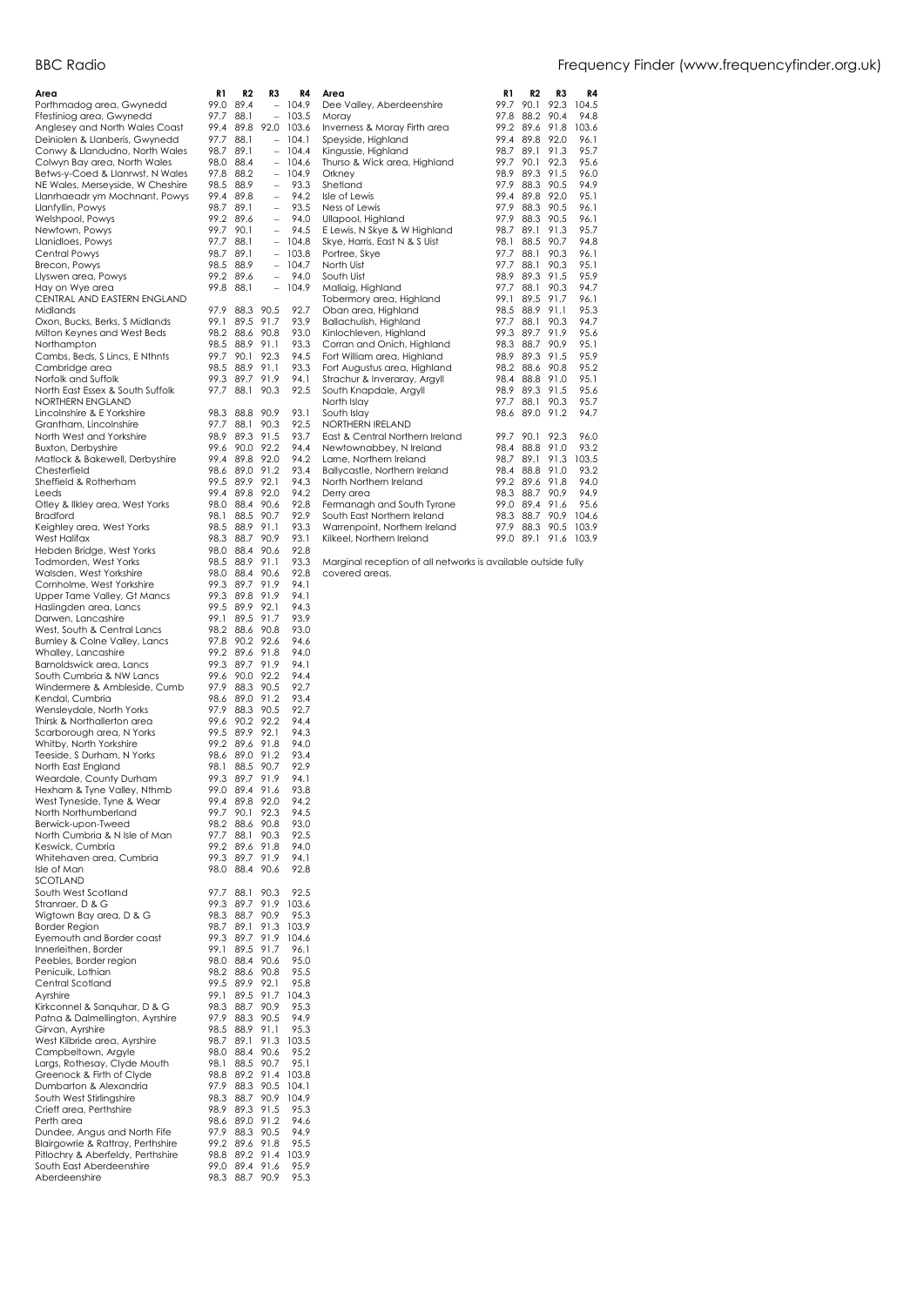| Area                                                             | R1           | R2           | R3                       | R4             |
|------------------------------------------------------------------|--------------|--------------|--------------------------|----------------|
| Porthmadog area, Gwynedd                                         | 99.0         | 89.4         |                          | 104.9          |
| Ffestiniog area, Gwynedd                                         | 97.7         | 88.1         |                          | 103.5          |
| Anglesey and North Wales Coast                                   | 99.4<br>97.7 | 89.8         | 92.0                     | 103.6<br>104.1 |
| Deiniolen & Llanberis, Gwynedd<br>Conwy & Llandudno, North Wales | 98.7         | 88.1<br>89.1 |                          | 104.4          |
| Colwyn Bay area, North Wales                                     | 98.0         | 88.4         | $\qquad \qquad -$        | 104.6          |
| Betws-y-Coed & Llanrwst, N Wales                                 | 97.8         | 88.2         |                          | 104.9          |
| NE Wales, Merseyside, W Cheshire                                 | 98.5         | 88.9         | $\overline{\phantom{0}}$ | 93.3           |
| Llanrhaeadr ym Mochnant, Powys                                   | 99.4         | 89.8         | $\overline{a}$           | 94.2           |
| Llanfyllin, Powys                                                | 98.7         | 89.1         | $\overline{a}$           | 93.5           |
| Welshpool, Powys                                                 | 99.2         | 89.6         | $\overline{a}$           | 94.0           |
| Newtown, Powys                                                   | 99.7         | 90.1         | $\overline{\phantom{0}}$ | 94.5           |
| Llanidloes, Powys                                                | 97.7         | 88.1         | $\overline{a}$           | 104.8          |
| Central Powys                                                    | 98.7         | 89.1         | $\overline{\phantom{0}}$ | 103.8          |
| Brecon, Powys                                                    | 98.5         | 88.9         | $\overline{a}$           | 104.7          |
| Llyswen area, Powys                                              | 99.2         | 89.6         |                          | 94.0           |
| Hay on Wye area                                                  | 99.8         | 88.1         | $\overline{\phantom{a}}$ | 104.9          |
| CENTRAL AND EASTERN ENGLAND                                      |              |              |                          |                |
| Midlands                                                         | 97.9         | 88.3         | 90.5                     | 92.7           |
| Oxon, Bucks, Berks, S Midlands                                   | 99.1         | 89.5         | 91.7                     | 93.9           |
| Milton Keynes and West Beds                                      | 98.2         | 88.6         | 90.8                     | 93.0           |
| Northampton                                                      | 98.5         | 88.9         | 91.1                     | 93.3           |
| Cambs, Beds, S Lincs, E Nthnts                                   | 99.7         | 90.1         | 92.3                     | 94.5           |
| Cambridge area                                                   | 98.5         | 88.9         | 91.1<br>91.9             | 93.3           |
| Norfolk and Suffolk<br>North East Essex & South Suffolk          | 99.3<br>97.7 | 89.7<br>88.1 | 90.3                     | 94.1<br>92.5   |
| NORTHERN ENGLAND                                                 |              |              |                          |                |
| Lincolnshire & E Yorkshire                                       | 98.3         | 88.8         | 90.9                     | 93.1           |
| Grantham, Lincolnshire                                           | 97.7         | 88.1         | 90.3                     | 92.5           |
| North West and Yorkshire                                         | 98.9         | 89.3         | 91.5                     | 93.7           |
| <b>Buxton, Derbyshire</b>                                        | 99.6         | 90.0         | 92.2                     | 94.4           |
| Matlock & Bakewell, Derbyshire                                   | 99.4         | 89.8         | 92.0                     | 94.2           |
| Chesterfield                                                     | 98.6         | 89.0         | 91.2                     | 93.4           |
| Sheffield & Rotherham                                            | 99.5         | 89.9         | 92.1                     | 94.3           |
| Leeds                                                            | 99.4         | 89.8         | 92.0                     | 94.2           |
| Otley & Ilkley area, West Yorks                                  | 98.0         | 88.4         | 90.6                     | 92.8           |
| Bradford                                                         | 98.1         | 88.5         | 90.7                     | 92.9           |
| Keighley area, West Yorks                                        | 98.5         | 88.9         | 91.1                     | 93.3           |
| West Halifax                                                     | 98.3         | 88.7         | 90.9                     | 93.1           |
| Hebden Bridge, West Yorks                                        | 98.0         | 88.4         | 90.6                     | 92.8           |
| Todmorden, West Yorks                                            | 98.5         | 88.9         | 91.1                     | 93.3           |
| Walsden, West Yorkshire                                          | 98.0         | 88.4         | 90.6                     | 92.8           |
| Cornholme, West Yorkshire                                        | 99.3         | 89.7         | 91.9                     | 94.1           |
| Upper Tame Valley, Gt Mancs                                      | 99.3         | 89.8         | 91.9                     | 94.1           |
| Haslingden area, Lancs                                           | 99.5         | 89.9         | 92.1                     | 94.3           |
| Darwen, Lancashire                                               | 99.1         | 89.5         | 91.7                     | 93.9           |
| West, South & Central Lancs                                      | 98.2         | 88.6         | 90.8                     | 93.0           |
| Burnley & Colne Valley, Lancs                                    | 97.8         | 90.2         | 92.6                     | 94.6           |
| Whalley, Lancashire                                              | 99.2         | 89.6         | 91.8                     | 94.0           |
| Barnoldswick area, Lancs                                         | 99.3         | 89.7         | 91.9                     | 94.1           |
| South Cumbria & NW Lancs                                         | 99.6         | 90.0         | 92.2                     | 94.4           |
| Windermere & Ambleside, Cumb                                     | 97.9         | 88.3         | 90.5                     | 92.7<br>93.4   |
| Kendal, Cumbria<br>Wensleydale, North Yorks                      | 98.6         | 89.0         | 91.2<br>90.5             | 92.7           |
| Thirsk & Northallerton area                                      | 97.9<br>99.6 | 88.3<br>90.2 | 92.2                     | 94.4           |
| Scarborough area, N Yorks                                        | 99.5         | 89.9         | 92.1                     | 94.3           |
| Whitby, North Yorkshire                                          | 99.2         | 89.6         | 91.8                     | 94.0           |
| Teeside, S Durham, N Yorks                                       | 98.6         | 89.0         | 91.2                     | 93.4           |
| North East England                                               | 98.1         | 88.5         | 90.7                     | 92.9           |
| Weardale, County Durham                                          | 99.3         | 89.7         | 91.9                     | 94.1           |
| Hexham & Tyne Valley, Nthmb                                      | 99.0         | 89.4         | 91.6                     | 93.8           |
| West Tyneside, Tyne & Wear                                       | 99.4         | 89.8         | 92.0                     | 94.2           |
| North Northumberland                                             | 99.7         | 90.1         | 92.3                     | 94.5           |
| Berwick-upon-Tweed                                               | 98.2         | 88.6         | 90.8                     | 93.0           |
| North Cumbria & N Isle of Man                                    | 97.7         | 88.1         | 90.3                     | 92.5           |
| Keswick, Cumbria                                                 | 99.2         | 89.6         | 91.8                     | 94.0           |
| Whitehaven area, Cumbria                                         | 99.3         | 89.7         | 91.9                     | 94.1           |
| Isle of Man                                                      | 98.0         | 88.4         | 90.6                     | 92.8           |
| SCOTLAND                                                         |              |              |                          |                |
| South West Scotland                                              | 97.7         | 88.1         | 90.3                     | 92.5           |
| Stranraer, D & G                                                 | 99.3         | 89.7         | 91.9                     | 103.6          |
| Wigtown Bay area, D & G                                          | 98.3         | 88.7         | 90.9                     | 95.3           |
| <b>Border Region</b>                                             | 98.7         | 89.1         | 91.3                     | 103.9          |
| Eyemouth and Border coast                                        | 99.3         | 89.7         | 91.9                     | 104.6          |
| Innerleithen, Border                                             | 99.1         | 89.5         | 91.7                     | 96.1           |
| Peebles, Border region                                           | 98.0         | 88.4         | 90.6                     | 95.0           |
| Penicuik, Lothian<br>Central Scotland                            | 98.2         | 88.6         | 90.8                     | 95.5           |
|                                                                  | 99.5<br>99.1 | 89.9<br>89.5 | 92.1<br>91.7             | 95.8           |
| Ayrshire<br>Kirkconnel & Sanguhar, D & G                         |              |              |                          | 104.3<br>95.3  |
|                                                                  | 98.3         | 88.7         | 90.9                     |                |
| Patna & Dalmellington, Ayrshire<br>Girvan, Ayrshire              | 97.9<br>98.5 | 88.3<br>88.9 | 90.5<br>91.1             | 94.9<br>95.3   |
| West Kilbride area, Ayrshire                                     | 98.7         | 89.1         | 91.3                     | 103.5          |
| Campbeltown, Argyle                                              | 98.0         | 88.4         | 90.6                     | 95.2           |
| Largs, Rothesay, Clyde Mouth                                     | 98.1         | 88.5         | 90.7                     | 95.1           |
| Greenock & Firth of Clyde                                        | 98.8         | 89.2         | 91.4                     | 103.8          |
| Dumbarton & Alexandria                                           | 97.9         | 88.3         | 90.5                     | 104.1          |
| South West Stirlingshire                                         | 98.3         | 88.7         | 90.9                     | 104.9          |
| Crieff area, Perthshire                                          | 98.9         | 89.3         | 91.5                     | 95.3           |
| Perth area                                                       | 98.6         | 89.0         | 91.2                     | 94.6           |
| Dundee, Angus and North Fife                                     | 97.9         | 88.3         | 90.5                     | 94.9           |
| Blairgowrie & Rattray, Perthshire                                | 99.2         | 89.6         | 91.8                     | 95.5           |
| Pitlochry & Aberfeldy, Perthshire                                | 98.8         | 89.2         | 91.4                     | 103.9          |
| South East Aberdeenshire                                         | 99.0         | 89.4         | 91.6                     | 95.9           |
| Aberdeenshire                                                    | 98.3         | 88.7         | 90.9                     | 95.3           |

| 104.9 | Dee Valley, Aberdeenshire       | 99.7 | 90.1 | 92.3 | 104.5 |
|-------|---------------------------------|------|------|------|-------|
| 103.5 | Moray                           | 97.8 | 88.2 | 90.4 | 94.8  |
| 103.6 | Inverness & Moray Firth area    | 99.2 | 89.6 | 91.8 | 103.6 |
| 104.1 | Speyside, Highland              | 99.4 | 89.8 | 92.0 | 96.1  |
| 104.4 | Kingussie, Highland             | 98.7 | 89.1 | 91.3 | 95.7  |
| 104.6 | Thurso & Wick area, Highland    | 99.7 | 90.1 | 92.3 | 95.6  |
| 104.9 | Orkney                          | 98.9 | 89.3 | 91.5 | 96.0  |
| 93.3  | Shetland                        | 97.9 | 88.3 | 90.5 | 94.9  |
| 94.2  | Isle of Lewis                   | 99.4 | 89.8 | 92.0 | 95.1  |
| 93.5  | Ness of Lewis                   | 97.9 | 88.3 | 90.5 | 96.1  |
| 94.0  | Ullapool, Highland              | 97.9 | 88.3 | 90.5 | 96.1  |
| 94.5  | E Lewis, N Skye & W Highland    | 98.7 | 89.1 | 91.3 | 95.7  |
| 104.8 | Skye, Harris, East N & S Uist   | 98.1 | 88.5 | 90.7 | 94.8  |
| 103.8 | Portree, Skye                   | 97.7 | 88.1 | 90.3 | 96.1  |
| 104.7 | North Uist                      | 97.7 | 88.1 | 90.3 | 95.1  |
| 94.0  | South Uist                      | 98.9 | 89.3 | 91.5 | 95.9  |
| 104.9 | Mallaig, Highland               | 97.7 | 88.1 | 90.3 | 94.7  |
|       | Tobermory area, Highland        | 99.1 | 89.5 | 91.7 | 96.1  |
| 92.7  | Oban area, Highland             | 98.5 | 88.9 | 91.1 | 95.3  |
| 93.9  | Ballachulish, Highland          | 97.7 | 88.1 | 90.3 | 94.7  |
| 93.0  | Kinlochleven, Highland          | 99.3 | 89.7 | 91.9 | 95.6  |
| 93.3  | Corran and Onich, Highland      | 98.3 | 88.7 | 90.9 | 95.1  |
| 94.5  | Fort William area, Highland     | 98.9 | 89.3 | 91.5 | 95.9  |
| 93.3  | Fort Augustus area, Highland    | 98.2 | 88.6 | 90.8 | 95.2  |
| 94.1  | Strachur & Inveraray, Argyll    | 98.4 | 88.8 | 91.0 | 95.1  |
| 92.5  | South Knapdale, Argyll          | 98.9 | 89.3 | 91.5 | 95.6  |
|       | North Islay                     | 97.7 | 88.1 | 90.3 | 95.7  |
| 93.1  | South Islav                     | 98.6 | 89.0 | 91.2 | 94.7  |
| 92.5  | <b>NORTHERN IRELAND</b>         |      |      |      |       |
| 93.7  | East & Central Northern Ireland | 99.7 | 90.1 | 92.3 | 96.0  |
| 94.4  | Newtownabbey, N Ireland         | 98.4 | 88.8 | 91.0 | 93.2  |
| 94.2  | Larne, Northern Ireland         | 98.7 | 89.1 | 91.3 | 103.5 |
| 93.4  | Ballycastle, Northern Ireland   | 98.4 | 88.8 | 91.0 | 93.2  |
| 94.3  | North Northern Ireland          | 99.2 | 89.6 | 91.8 | 94.0  |
| 94.2  | Derry area                      | 98.3 | 88.7 | 90.9 | 94.9  |
| 92.8  | Fermanagh and South Tyrone      | 99.0 | 89.4 | 91.6 | 95.6  |
| 92.9  | South East Northern Ireland     | 98.3 | 88.7 | 90.9 | 104.6 |
| 93.3  | Warrenpoint, Northern Ireland   | 97.9 | 88.3 | 90.5 | 103.9 |
| 93.1  | Kilkeel, Northern Ireland       | 99.0 | 89.1 | 91.6 | 103.9 |

**Area R1 R2 R3 R4** 

Marginal reception of all networks is available outside fully covered areas.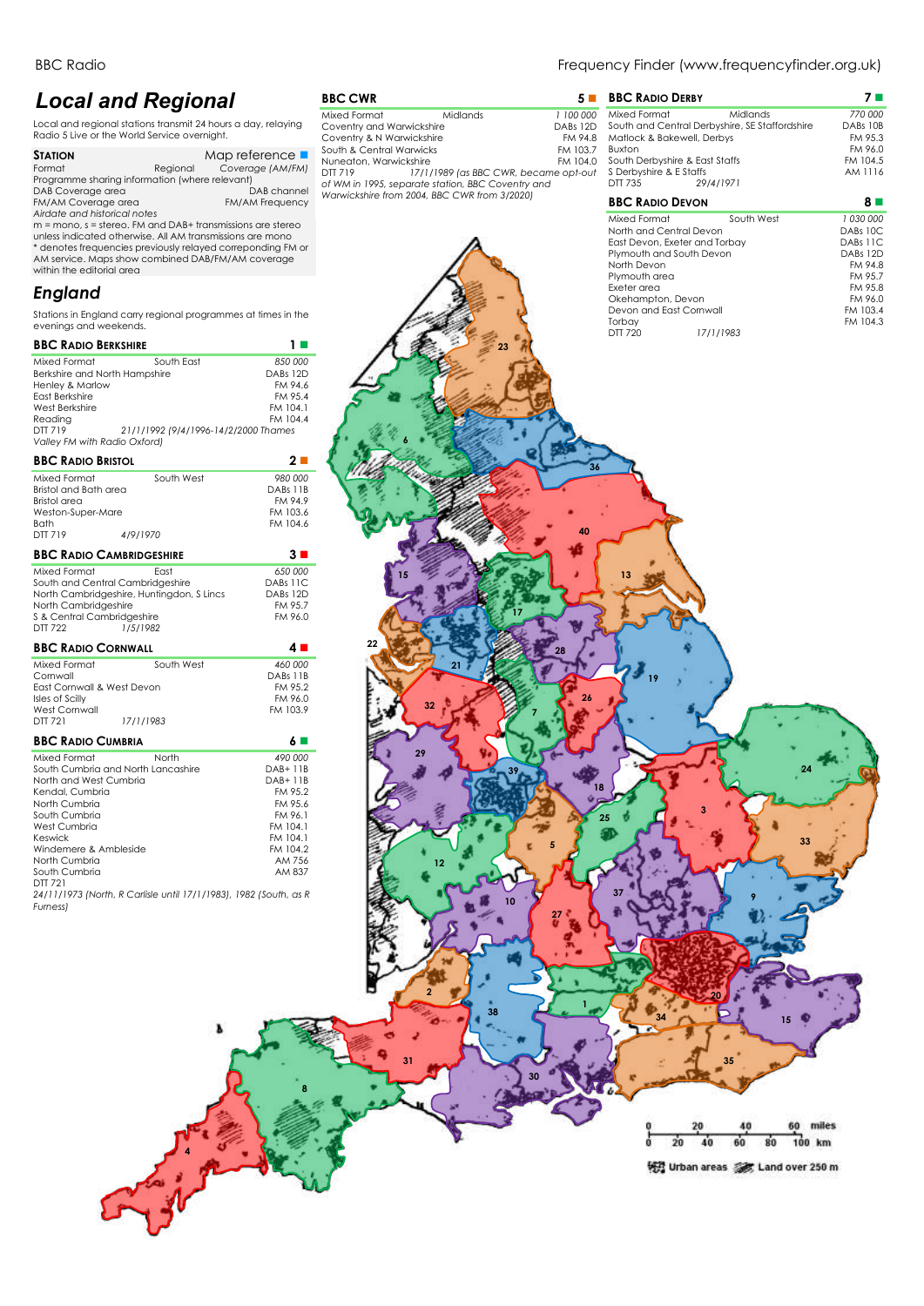## *Local and Regional*

Local and regional stations transmit 24 hours a day, relaying Radio 5 Live or the World Service overnight.

| <b>STATION</b>                                 |          | Map reference $\blacksquare$ |  |
|------------------------------------------------|----------|------------------------------|--|
| Format                                         | Reaional | Coverage (AM/FM)             |  |
| Programme sharing information (where relevant) |          |                              |  |
| DAB Coverage area                              |          | DAB channel                  |  |
| FM/AM Coverage area                            |          | <b>FM/AM Frequency</b>       |  |
| Airdate and historical notes                   |          |                              |  |

A*irdate and historical notes*<br>m = mono, s = stereo. FM and DAB+ transmissions are stereo<br>unless indicated otherwise. All AM transmissions are mono<br>\* denotes frequencies previously relayed correponding FM or AM service. Maps show combined DAB/FM/AM coverage within the editorial area

## *England*

Stations in England carry regional programmes at times in evenings and weekends.

## **BBC RADIO BERKSHIRE 1** ◼ Mixed Format South East *850 000* Berkshire and North Hampshire DABs 12D

| Henley & Marlow              |                                      | FM 94.6  |
|------------------------------|--------------------------------------|----------|
| East Berkshire               |                                      | FM 95.4  |
| West Berkshire               |                                      | FM 104.1 |
| Readina                      |                                      | FM 104.4 |
| DTT 719                      | 21/1/1992 (9/4/1996-14/2/2000 Thames |          |
| Valley FM with Radio Oxford) |                                      |          |
|                              |                                      |          |

## **BBC RADIO BRISTOL**

| <b>DDU RADIU DRISIUL</b>                                                                                                                                                                     |                                                                                                   | ◢−                                                                                                                     |
|----------------------------------------------------------------------------------------------------------------------------------------------------------------------------------------------|---------------------------------------------------------------------------------------------------|------------------------------------------------------------------------------------------------------------------------|
| Mixed Format<br>Bristol and Bath area<br>Bristol area<br>Weston-Super-Mare<br><b>Bath</b><br><b>DTT 719</b>                                                                                  | South West<br>4/9/1970                                                                            | 980 000<br>DABs 11B<br>FM 94.9<br>FM 103.6<br>FM 104.6                                                                 |
|                                                                                                                                                                                              | <b>BBC RADIO CAMBRIDGESHIRE</b>                                                                   | 3∎                                                                                                                     |
| Mixed Format<br>North Cambridgeshire<br>S & Central Cambridgeshire<br><b>DTT 722</b>                                                                                                         | East<br>South and Central Cambridgeshire<br>North Cambridgeshire, Huntingdon, S Lincs<br>1/5/1982 | 650 000<br>DABs 11C<br>DABs 12D<br>FM 95.7<br>FM 96.0                                                                  |
| <b>BBC RADIO CORNWALL</b>                                                                                                                                                                    |                                                                                                   | 4∎                                                                                                                     |
| Mixed Format<br>Cornwall<br><b>Fast Cornwall &amp; West Devon</b><br>Isles of Scilly<br>West Cornwall<br>DTT 721                                                                             | South West<br>17/1/1983                                                                           | 460 000<br>DABs 11B<br>FM 95.2<br>FM 96.0<br>FM 103.9                                                                  |
| <b>BBC RADIO CUMBRIA</b>                                                                                                                                                                     |                                                                                                   | 6 ■                                                                                                                    |
| Mixed Format<br>North and West Cumbria<br>Kendal, Cumbria<br>North Cumbria<br>South Cumbria<br>West Cumbria<br>Keswick<br>Windemere & Ambleside<br>North Cumbria<br>South Cumbria<br>DTT 721 | North<br>South Cumbria and North Lancashire                                                       | 490 000<br>DAB+11B<br>DAB+11B<br>FM 95.2<br>FM 95.6<br>FM 96.1<br>FM 104.1<br>FM 104.1<br>FM 104.2<br>AM 756<br>AM 837 |
| Furness)                                                                                                                                                                                     | 24/11/1973 (North, R Carlisle until 17/1/1983), 1982 (South, as R                                 |                                                                                                                        |

**4**

**BBC CWR** 5 ■<br>
Mixed Format Midlands 6 → 1100 000 Mixed Format Midlands *1 100 000* Coventry and Warwickshire DABs 12D Coventry & N Warwickshire FM 94.8<br>South & Central Warwicks FM 103.7 South & Central Warwicks FM 103.7 Nuneaton, Warwickshire FM 104.0 DTT 719 *17/1/1989 (as BBC CWR, became opt-out of WM in 1995, separate station, BBC Coventry and Warwickshire from 2004, BBC CWR from 3/2020)*

Δ

## BBC Radio **Frequency Finder (www.frequencyfinder.org.uk)** Frequency Finder (www.frequencyfinder.org.uk)

|    | <b>BBC RADIO DERBY</b>         |                                                | 7 L       |
|----|--------------------------------|------------------------------------------------|-----------|
| วิ | Mixed Format                   | Midlands                                       | 770 000   |
| C  |                                | South and Central Derbyshire, SE Staffordshire | DABs 10B  |
| Β  | Matlock & Bakewell, Derbys     |                                                | FM 95.3   |
| 7  | <b>Buxton</b>                  |                                                | FM 96.0   |
| C  | South Derbyshire & East Staffs |                                                | FM 104.5  |
| t  | S Derbyshire & E Staffs        |                                                | AM 1116   |
|    | DTT 735                        | 29/4/1971                                      |           |
|    | <b>BBC RADIO DEVON</b>         |                                                | 8         |
|    | Mixed Format                   | South West                                     | 1 030 000 |
|    | North and Central Devon        |                                                | DABs 10C  |
|    | East Devon, Exeter and Torbay  |                                                | DABs 11C  |
|    | Plymouth and South Devon       |                                                | DABs 12D  |
|    | North Devon                    |                                                | FM 94.8   |
|    | Plymouth area                  |                                                | FM 95.7   |
|    |                                |                                                |           |

| $\cdot$ $\sim$                           |            | Plymouth and South Devon<br>North Devon<br>Plymouth area<br>Exeter area               | DABs 12D<br>FM 94.8<br>FM 95.7<br>FM 95.8 |
|------------------------------------------|------------|---------------------------------------------------------------------------------------|-------------------------------------------|
| the                                      |            | Okehampton, Devon<br>Devon and East Cornwall<br>Torbay<br><b>DTT 720</b><br>17/1/1983 | FM 96.0<br>FM 103.4<br>FM 104.3           |
| $\mathcal{L}_{\mathcal{A}}$<br>000<br>2D | 23         |                                                                                       |                                           |
| 4.6<br>5.4<br>14.1<br>4.4                |            |                                                                                       |                                           |
| $\blacksquare$                           |            | 36                                                                                    |                                           |
| 000<br>11 B<br>4.9<br>3.6                |            |                                                                                       |                                           |
| 14.6<br>п                                |            | 40                                                                                    |                                           |
| 000<br>1C<br>2D<br>5.7                   | 15         | 13                                                                                    |                                           |
| 6.0<br><b>D</b>                          | 22<br>28   |                                                                                       |                                           |
| 000<br>11 B<br>5.2<br>6.0                | 21<br>32   | 19<br>26                                                                              |                                           |
| 13.9<br>$\blacksquare$                   | 29         |                                                                                       |                                           |
| 000<br>11 B<br>11 B<br>5.2<br>5.6        | 39         | 18                                                                                    | 24                                        |
| 6.1<br>14.1<br>14.1<br>14.2              |            | 3<br>25                                                                               | 33                                        |
| 756<br>337<br>as R                       | $12 \quad$ | 37                                                                                    |                                           |
|                                          | 10         |                                                                                       |                                           |
|                                          |            |                                                                                       |                                           |
|                                          | 38         | 1                                                                                     | 15                                        |
|                                          | 31<br>30   | 35                                                                                    |                                           |
|                                          |            | 20<br>40<br>숩                                                                         | 60 miles                                  |
|                                          |            | $\overline{20}$<br>60<br>40<br>悦 Urban areas <a></a> Land over 250 m                  | 80<br>100 km                              |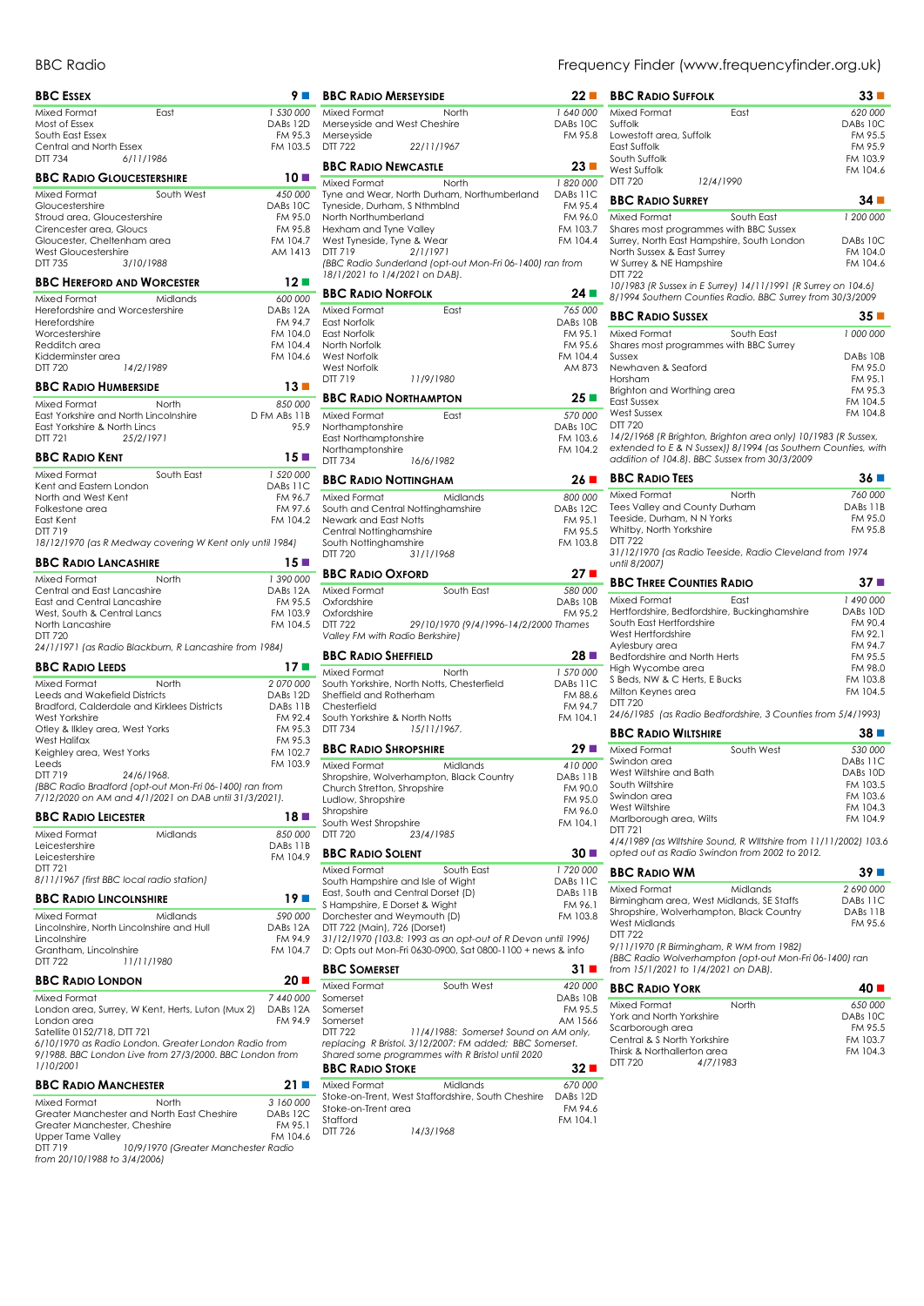| <b>BBC ESSEX</b>                                                                | 9 ■                 |
|---------------------------------------------------------------------------------|---------------------|
| Mixed Format<br>East                                                            | 1 530 000           |
| Most of Essex                                                                   | DABs 12D            |
| South East Essex                                                                | FM 95.3             |
| Central and North Essex<br>DTT 734<br>6/11/1986                                 | FM 103.5            |
| <b>BBC RADIO GLOUCESTERSHIRE</b>                                                | 10 ■                |
| Mixed Format<br>South West                                                      |                     |
| Gloucestershire                                                                 | 450 000<br>DABs 10C |
| Stroud area, Gloucestershire                                                    | FM 95.0             |
| Cirencester area, Gloucs                                                        | FM 95.8             |
| Gloucester, Cheltenham area                                                     | FM 104.7            |
| <b>West Gloucestershire</b><br>DTT 735<br>3/10/1988                             | AM 1413             |
|                                                                                 |                     |
| <b>BBC HEREFORD AND WORCESTER</b>                                               | 12 ■                |
| Mixed Format<br>Midlands<br>Herefordshire and Worcestershire                    | 600 000<br>DABs 12A |
| Herefordshire                                                                   | FM 94.7             |
| Worcestershire                                                                  | FM 104.0            |
| Redditch area                                                                   | FM 104.4            |
| Kidderminster area                                                              | FM 104.6            |
| DTT 720<br>14/2/1989                                                            |                     |
| <b>BBC RADIO HUMBERSIDE</b>                                                     | 13 ■                |
| Mixed Format<br>North                                                           | 850 000             |
| East Yorkshire and North Lincolnshire                                           | D FM ABs 11B        |
| East Yorkshire & North Lincs<br>DTT 721<br>25/2/1971                            | 95.9                |
| <b>BBC RADIO KENT</b>                                                           | $15 \blacksquare$   |
|                                                                                 |                     |
| Mixed Format<br>South East                                                      | 1 520 000           |
| Kent and Eastern London<br>North and West Kent                                  | DABs 11C<br>FM 96.7 |
| Folkestone area                                                                 | FM 97.6             |
| East Kent                                                                       | FM 104.2            |
| DTT 719                                                                         |                     |
| 18/12/1970 (as R Medway covering W Kent only until 1984)                        |                     |
| <b>BBC RADIO LANCASHIRE</b>                                                     | 15 ■                |
| Mixed Format<br>North                                                           | 1 390 000           |
| Central and East Lancashire                                                     | DABs 12A            |
| East and Central Lancashire<br>West, South & Central Lancs                      | FM 95.5<br>FM 103.9 |
| North Lancashire                                                                | FM 104.5            |
| DTT 720                                                                         |                     |
| 24/1/1971 (as Radio Blackburn, R Lancashire from 1984)                          |                     |
| <b>BBC RADIO LEEDS</b>                                                          | 17 ■                |
| Mixed Format<br>North                                                           | 2 070 000           |
| Leeds and Wakefield Districts                                                   | DABs 12D            |
| Bradford, Calderdale and Kirklees Districts<br>West Yorkshire                   | DABs 11B<br>FM 92.4 |
| Otley & Ilkley area, West Yorks                                                 | FM 95.3             |
| West Halifax                                                                    | FM 95.3             |
| Keighley area, West Yorks                                                       | FM 102.7            |
| Leeds                                                                           | FM 103.9            |
| 24/6/1968.<br>DTT 719<br>(BBC Radio Bradford (opt-out Mon-Fri 06-1400) ran from |                     |
| 7/12/2020 on AM and 4/1/2021 on DAB until 31/3/2021).                           |                     |
| <b>BBC RADIO LEICESTER</b>                                                      | 18 ■                |
|                                                                                 |                     |
| Mixed Format<br>Midlands                                                        | 850 000             |
| Leicestershire                                                                  | DABs 11B            |
| Leicestershire                                                                  | FM 104.9            |
| DTT 721                                                                         |                     |
| 8/11/1967 (first BBC local radio station)                                       |                     |
| <b>BBC RADIO LINCOLNSHIRE</b>                                                   | 19 ■                |
| Mixed Format<br>Midlands                                                        | 590 000             |
| Lincolnshire, North Lincolnshire and Hull<br>Lincolnshire                       | DABs 12A            |
| Grantham, Lincolnshire                                                          | FM 94.9<br>FM 104.7 |
| 11/11/1980<br><b>DTT 722</b>                                                    |                     |
| <b>BBC RADIO LONDON</b>                                                         | 20 ∎                |
| Mixed Format                                                                    | 7 440 000           |
| London area, Surrey, W Kent, Herts, Luton (Mux 2)                               | DABs 12A            |
| London area                                                                     | FM 94.9             |
| Satellite 0152/718, DTT 721                                                     |                     |
| 6/10/1970 as Radio London. Greater London Radio from                            |                     |
| 9/1988. BBC London Live from 27/3/2000. BBC London from<br>1/10/2001            |                     |
| <b>BBC RADIO MANCHESTER</b>                                                     | 21 ■                |
| Mixed Format<br>North                                                           | 3 160 000           |

| Mixed Format                 | North                                      | 3 160 000 |
|------------------------------|--------------------------------------------|-----------|
|                              | Greater Manchester and North East Cheshire | DABs 12C  |
| Greater Manchester, Cheshire |                                            | FM 95.1   |
| Upper Tame Valley            |                                            | FM 104.6  |
| DTT 719                      | 10/9/1970 (Greater Manchester Radio        |           |
| from 20/10/1988 to 3/4/2006) |                                            |           |
|                              |                                            |           |

| <b>BBC RADIO MERSEYSIDE</b>                                             | 22 ■                 |
|-------------------------------------------------------------------------|----------------------|
| Mixed Format<br>North                                                   | 1 640 000            |
| Merseyside and West Cheshire<br>Merseyside                              | DABs 10C<br>FM 95.8  |
| <b>DTT 722</b><br>22/11/1967                                            |                      |
| <b>BBC RADIO NEWCASTLE</b>                                              | 23 ■                 |
| Mixed Format<br>North                                                   | 1820000              |
| Tyne and Wear, North Durham, Northumberland                             | DABs 11C             |
| Tyneside, Durham, S Nthmblnd<br>North Northumberland                    | FM 95.4<br>FM 96.0   |
| Hexham and Tyne Valley                                                  | FM 103.7             |
| West Tyneside, Tyne & Wear<br>2/1/1971<br>DTT 719                       | FM 104.4             |
| (BBC Radio Sunderland (opt-out Mon-Fri 06-1400) ran from                |                      |
| 18/1/2021 to 1/4/2021 on DAB).                                          |                      |
| <b>BBC RADIO NORFOLK</b>                                                | $24\blacksquare$     |
| Mixed Format<br>East<br>East Norfolk                                    | 765 000<br>DABs 10B  |
| East Norfolk                                                            | FM 95.1              |
| North Norfolk                                                           | FM 95.6              |
| <b>West Norfolk</b><br><b>West Norfolk</b>                              | FM 104.4<br>AM 873   |
| DTT 719<br>11/9/1980                                                    |                      |
| <b>BBC RADIO NORTHAMPTON</b>                                            | 25 ■                 |
| Mixed Format<br>East                                                    | 570 000              |
| Northamptonshire<br>East Northamptonshire                               | DABs 10C<br>FM 103.6 |
| Northamptonshire                                                        | FM 104.2             |
| DTT 734<br>16/6/1982                                                    |                      |
| <b>BBC RADIO NOTTINGHAM</b>                                             | 26 ∎                 |
| Mixed Format<br>Midlands                                                | 800 000              |
| South and Central Nottinghamshire<br>Newark and East Notts              | DABs 12C<br>FM 95.1  |
| Central Nottinghamshire                                                 | FM 95.5              |
| South Nottinghamshire<br>DTT 720<br>31/1/1968                           | FM 103.8             |
| <b>BBC RADIO OXFORD</b>                                                 | 27 ■                 |
| Mixed Format<br>South East                                              | 580 000              |
| Oxfordshire                                                             | DABs 10B             |
| Oxfordshire<br>DTT 722<br>29/10/1970 (9/4/1996-14/2/2000 Thames         | FM 95.2              |
| Valley FM with Radio Berkshire)                                         |                      |
| <b>BBC RADIO SHEFFIELD</b>                                              | 28 ⊑                 |
| Mixed Format<br>North                                                   | 1 570 000            |
| South Yorkshire, North Notts, Chesterfield<br>Sheffield and Rotherham   | DABs 11C<br>FM 88.6  |
| Chesterfield                                                            | FM 94.7              |
| South Yorkshire & North Notts<br>DTT 734<br>15/11/1967.                 | FM 104.1             |
|                                                                         |                      |
|                                                                         |                      |
| <b>BBC RADIO SHROPSHIRE</b>                                             | 29 ■                 |
| Mixed Format<br>Midlands                                                | 410 000<br>DABs 11B  |
| Shropshire, Wolverhampton, Black Country<br>Church Stretton, Shropshire | FM 90.0              |
| Ludlow, Shropshire                                                      | FM 95.0              |
| Shropshire<br>South West Shropshire                                     | FM 96.0<br>FM 104.1  |
| <b>DTT 720</b><br>23/4/1985                                             |                      |
| <b>BBC RADIO SOLENT</b>                                                 | 30 ■                 |
| Mixed Format<br>South East                                              | 1720 000             |
| South Hampshire and Isle of Wight<br>East, South and Central Dorset (D) | DABs 11C<br>DABs 11B |
| S Hampshire, E Dorset & Wight                                           | FM 96.1              |
| Dorchester and Weymouth (D)<br>DTT 722 (Main), 726 (Dorset)             | FM 103.8             |
| 31/12/1970 (103.8: 1993 as an opt-out of R Devon until 1996)            |                      |
| D: Opts out Mon-Fri 0630-0900, Sat 0800-1100 + news & info              |                      |
| <b>BBC SOMERSET</b>                                                     | 31 ■                 |
| Mixed Format<br>South West<br>Somerset                                  | 420 000<br>DABs 10B  |
| Somerset                                                                | FM 95.5              |
| Somerset<br>DTT 722<br>11/4/1988: Somerset Sound on AM only,            | AM 1566              |
| replacing R Bristol. 3/12/2007: FM added; BBC Somerset.                 |                      |
| Shared some programmes with R Bristol until 2020                        |                      |
| <b>BBC RADIO STOKE</b><br>Mixed Format<br>Midlands                      | 32 ∎<br>670 000      |
| Stoke-on-Trent, West Staffordshire, South Cheshire                      | DABs 12D             |
| Stoke-on-Trent area<br>Stafford                                         | FM 94.6<br>FM 104.1  |

BBC Radio **Frequency Finder (www.frequencyfinder.org.uk)** Frequency Finder (www.frequencyfinder.org.uk)

| ш                           | <b>BBC RADIO SUFFOLK</b>                                                                                          | 33 ■                  |
|-----------------------------|-------------------------------------------------------------------------------------------------------------------|-----------------------|
| 00                          | Mixed Format<br>East                                                                                              | 620 000               |
| ΟС                          | Suffolk                                                                                                           | DABs 10C<br>FM 95.5   |
| 5.8                         | Lowestoft area, Suffolk<br>East Suffolk                                                                           | FM 95.9               |
|                             | South Suffolk                                                                                                     | FM 103.9              |
|                             | West Suffolk<br><b>DTT 720</b><br>12/4/1990                                                                       | FM 104.6              |
| 00<br>ΙC                    |                                                                                                                   |                       |
| 5.4                         | <b>BBC RADIO SURREY</b>                                                                                           | $34 \blacksquare$     |
| 5.0<br>3.7                  | Mixed Format<br>South East<br>Shares most programmes with BBC Sussex                                              | 1 200 000             |
| 1.4                         | Surrey, North East Hampshire, South London                                                                        | DABs 10C              |
|                             | North Sussex & East Surrey                                                                                        | FM 104.0              |
|                             | W Surrey & NE Hampshire<br>DTT 722                                                                                | FM 104.6              |
|                             | 10/1983 (R Sussex in E Surrey) 14/11/1991 (R Surrey on 104.6)                                                     |                       |
| ш                           | 8/1994 Southern Counties Radio. BBC Surrey from 30/3/2009                                                         |                       |
| 00<br>OВ                    | <b>BBC RADIO SUSSEX</b>                                                                                           | 35 ■                  |
| 5.1                         | Mixed Format<br>South East                                                                                        | 1 000 000             |
| 5.6<br>1.4                  | Shares most programmes with BBC Surrey<br>Sussex                                                                  | DABs 10B              |
| 73                          | Newhaven & Seaford                                                                                                | FM 95.0               |
|                             | Horsham                                                                                                           | FM 95.1               |
|                             | Brighton and Worthing area<br><b>East Sussex</b>                                                                  | FM 95.3<br>FM 104.5   |
| 00                          | <b>West Sussex</b>                                                                                                | FM 104.8              |
| JС                          | DTT 720<br>14/2/1968 (R Brighton, Brighton area only) 10/1983 (R Sussex,                                          |                       |
| 3.6<br>1.2                  | extended to E & N Sussex)) 8/1994 (as Southern Counties, with                                                     |                       |
|                             | addition of 104.8). BBC Sussex from 30/3/2009                                                                     |                       |
| П                           | <b>BBC RADIO TEES</b>                                                                                             | 36 ■                  |
| 00                          | Mixed Format<br>North                                                                                             | 760 000               |
| 2C                          | Tees Valley and County Durham                                                                                     | DABs 11B<br>FM 95.0   |
| 5.1<br>5.5                  | Teeside, Durham, N N Yorks<br>Whitby, North Yorkshire                                                             | FM 95.8               |
| 8.8                         | <b>DTT 722</b>                                                                                                    |                       |
|                             | 31/12/1970 (as Radio Teeside, Radio Cleveland from 1974<br>until 8/2007)                                          |                       |
| ш                           |                                                                                                                   |                       |
| 00                          | <b>BBC THREE COUNTIES RADIO</b>                                                                                   | 37 ■                  |
| 0B.<br>5.2                  | East<br>Mixed Format<br>Hertfordshire, Bedfordshire, Buckinghamshire                                              | 1 490 000<br>DABs 10D |
| ì                           | South East Hertfordshire                                                                                          | FM 90.4               |
|                             | West Hertfordshire                                                                                                | FM 92.1               |
| ш                           | Aylesbury area<br>Bedfordshire and North Herts                                                                    | FM 94.7<br>FM 95.5    |
| 00                          | High Wycombe area                                                                                                 | FM 98.0               |
| ΙC                          | S Beds, NW & C Herts, E Bucks<br>Milton Keynes area                                                               | FM 103.8<br>FM 104.5  |
| 3.6<br>1.7                  | DTT 720                                                                                                           |                       |
| 1.1                         | 24/6/1985 (as Radio Bedfordshire, 3 Counties from 5/4/1993)                                                       |                       |
|                             | <b>BBC RADIO WILTSHIRE</b>                                                                                        | 38 ■                  |
| ш                           | Mixed Format<br>South West                                                                                        | 530 000               |
| 00                          | Swindon area<br>West Wiltshire and Bath                                                                           | DABs 11C<br>DABs 10D  |
| 1В<br>0.0                   | South Wiltshire                                                                                                   | FM 103.5              |
| 5.0                         | Swindon area                                                                                                      | FM 103.6              |
| 5.0                         | West Wiltshire<br>Marlborough area, Wilts                                                                         | FM 104.3<br>FM 104.9  |
| 1.1                         | DTT 721                                                                                                           |                       |
| $\mathcal{L}_{\mathcal{A}}$ | 4/4/1989 (as Wiltshire Sound, R Wiltshire from 11/11/2002) 103.6<br>opted out as Radio Swindon from 2002 to 2012. |                       |
|                             |                                                                                                                   |                       |
| 00<br>ΙC                    | <b>BBC RADIO WM</b>                                                                                               | 39 ■                  |
| 1В                          | Mixed Format<br>Midlands<br>Birmingham area, West Midlands, SE Staffs                                             | 2 690 000<br>DABs 11C |
| 5.1<br>8.8                  | Shropshire, Wolverhampton, Black Country                                                                          | DABs 11B              |
|                             | <b>West Midlands</b><br><b>DTT 722</b>                                                                            | FM 95.6               |
| 1                           | 9/11/1970 (R Birmingham, R WM from 1982)                                                                          |                       |
|                             | (BBC Radio Wolverhampton (opt-out Mon-Fri 06-1400) ran                                                            |                       |
| Þ                           | from 15/1/2021 to 1/4/2021 on DAB).                                                                               |                       |
| 00<br>OВ                    | <b>BBC RADIO YORK</b>                                                                                             | 40 ■                  |
| 5.5                         | Mixed Format<br>North                                                                                             | 650 000               |
| 66                          | York and North Yorkshire<br>Scarborough area                                                                      | DABs 10C<br>FM 95.5   |
| ',                          | Central & S North Yorkshire                                                                                       | FM 103.7              |
|                             | Thirsk & Northallerton area                                                                                       | FM 104.3              |
|                             | DTT 720<br>4/7/1983                                                                                               |                       |
| 00                          |                                                                                                                   |                       |
| 2D<br>1.6                   |                                                                                                                   |                       |
|                             |                                                                                                                   |                       |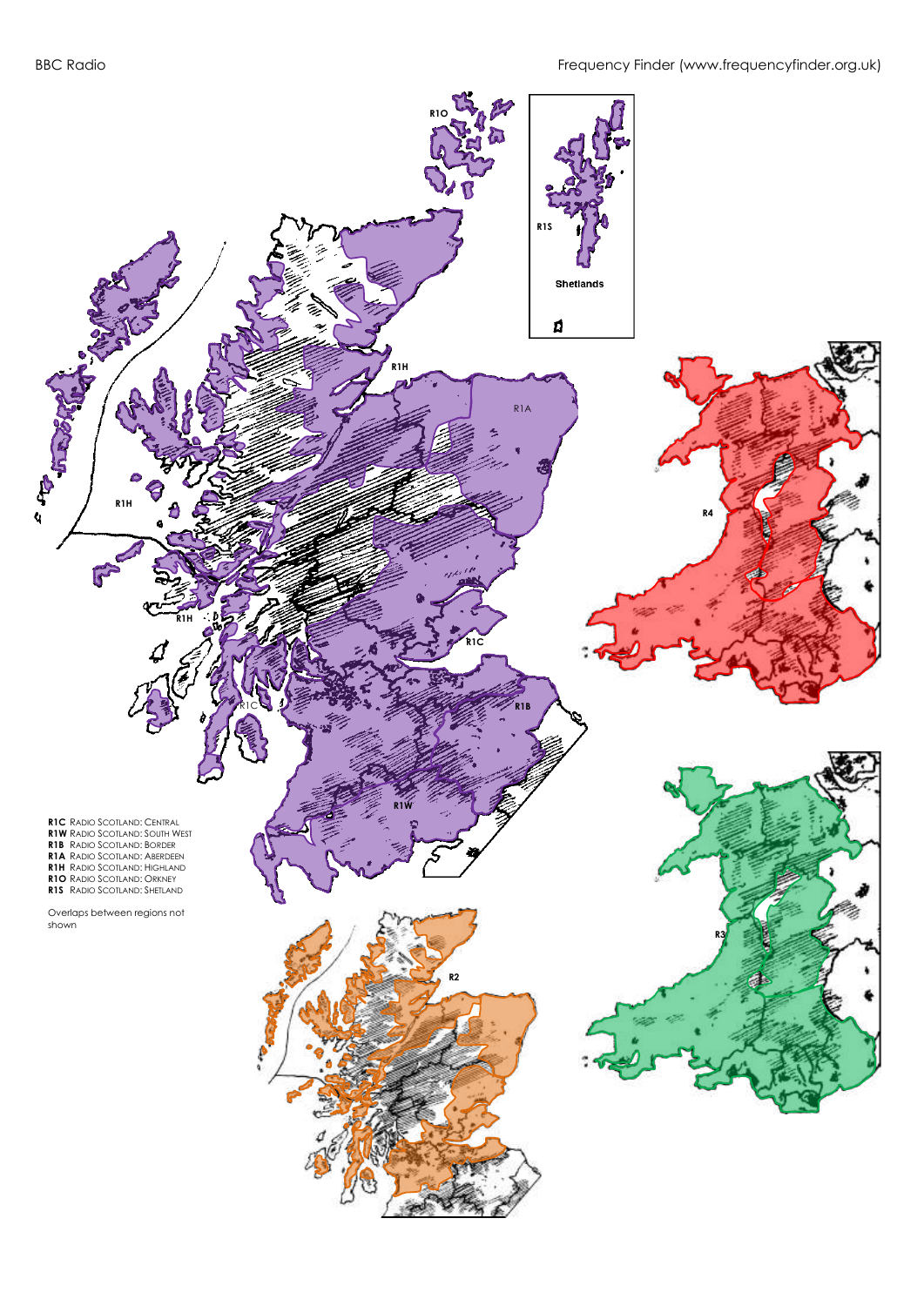